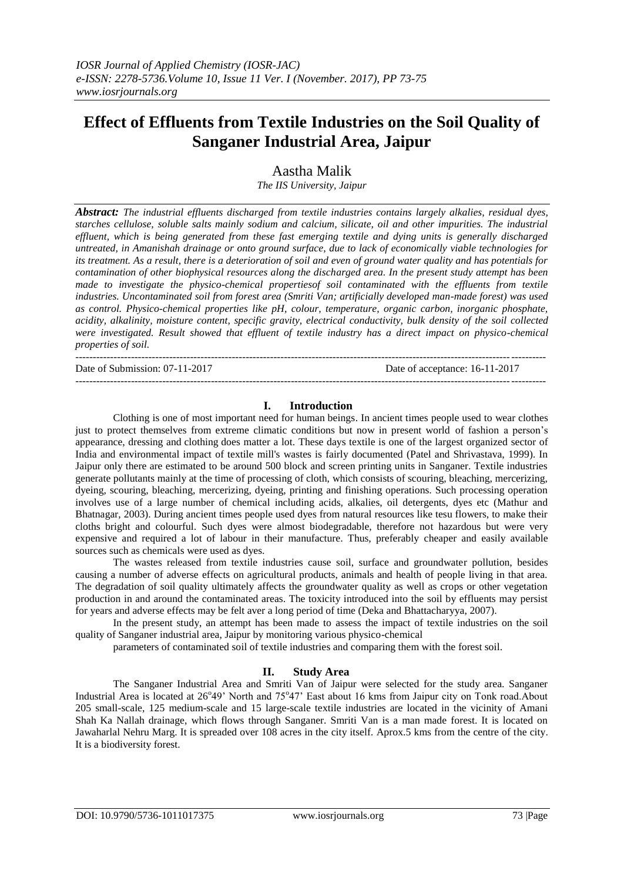# **Effect of Effluents from Textile Industries on the Soil Quality of Sanganer Industrial Area, Jaipur**

Aastha Malik

*The IIS University, Jaipur*

*Abstract: The industrial effluents discharged from textile industries contains largely alkalies, residual dyes, starches cellulose, soluble salts mainly sodium and calcium, silicate, oil and other impurities. The industrial effluent, which is being generated from these fast emerging textile and dying units is generally discharged untreated, in Amanishah drainage or onto ground surface, due to lack of economically viable technologies for its treatment. As a result, there is a deterioration of soil and even of ground water quality and has potentials for contamination of other biophysical resources along the discharged area. In the present study attempt has been made to investigate the physico-chemical propertiesof soil contaminated with the effluents from textile industries. Uncontaminated soil from forest area (Smriti Van; artificially developed man-made forest) was used as control. Physico-chemical properties like pH, colour, temperature, organic carbon, inorganic phosphate, acidity, alkalinity, moisture content, specific gravity, electrical conductivity, bulk density of the soil collected were investigated. Result showed that effluent of textile industry has a direct impact on physico-chemical properties of soil.* 

---------------------------------------------------------------------------------------------------------------------------------------

Date of Submission: 07-11-2017 Date of acceptance: 16-11-2017

## **I. Introduction**

---------------------------------------------------------------------------------------------------------------------------------------

Clothing is one of most important need for human beings. In ancient times people used to wear clothes just to protect themselves from extreme climatic conditions but now in present world of fashion a person's appearance, dressing and clothing does matter a lot. These days textile is one of the largest organized sector of India and environmental impact of textile mill's wastes is fairly documented (Patel and Shrivastava, 1999). In Jaipur only there are estimated to be around 500 block and screen printing units in Sanganer. Textile industries generate pollutants mainly at the time of processing of cloth, which consists of scouring, bleaching, mercerizing, dyeing, scouring, bleaching, mercerizing, dyeing, printing and finishing operations. Such processing operation involves use of a large number of chemical including acids, alkalies, oil detergents, dyes etc (Mathur and Bhatnagar, 2003). During ancient times people used dyes from natural resources like tesu flowers, to make their cloths bright and colourful. Such dyes were almost biodegradable, therefore not hazardous but were very expensive and required a lot of labour in their manufacture. Thus, preferably cheaper and easily available sources such as chemicals were used as dyes.

The wastes released from textile industries cause soil, surface and groundwater pollution, besides causing a number of adverse effects on agricultural products, animals and health of people living in that area. The degradation of soil quality ultimately affects the groundwater quality as well as crops or other vegetation production in and around the contaminated areas. The toxicity introduced into the soil by effluents may persist for years and adverse effects may be felt aver a long period of time (Deka and Bhattacharyya, 2007).

In the present study, an attempt has been made to assess the impact of textile industries on the soil quality of Sanganer industrial area, Jaipur by monitoring various physico-chemical

parameters of contaminated soil of textile industries and comparing them with the forest soil.

## **II. Study Area**

The Sanganer Industrial Area and Smriti Van of Jaipur were selected for the study area. Sanganer Industrial Area is located at 26°49' North and 75°47' East about 16 kms from Jaipur city on Tonk road. About 205 small-scale, 125 medium-scale and 15 large-scale textile industries are located in the vicinity of Amani Shah Ka Nallah drainage, which flows through Sanganer. Smriti Van is a man made forest. It is located on Jawaharlal Nehru Marg. It is spreaded over 108 acres in the city itself. Aprox.5 kms from the centre of the city. It is a biodiversity forest.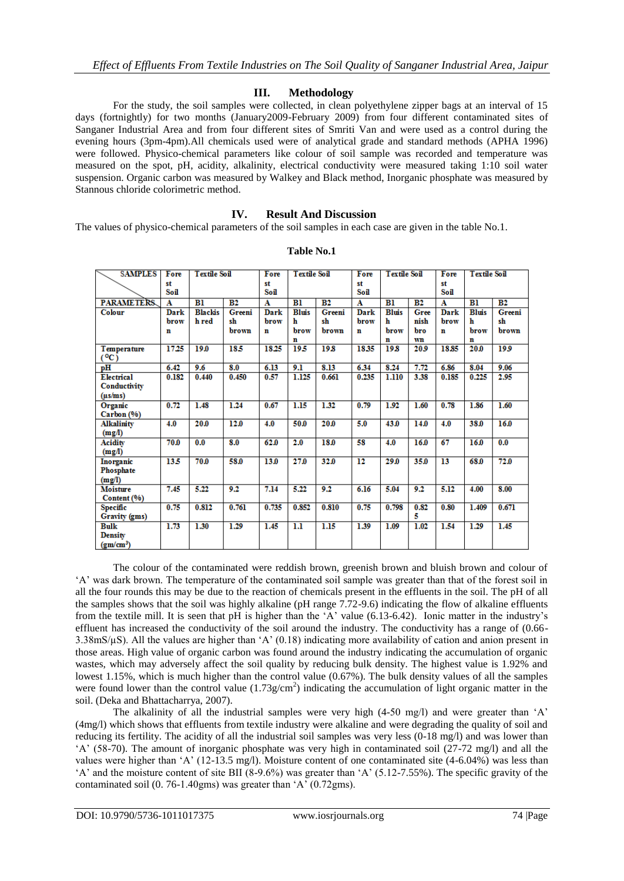### **III. Methodology**

For the study, the soil samples were collected, in clean polyethylene zipper bags at an interval of 15 days (fortnightly) for two months (January2009-February 2009) from four different contaminated sites of Sanganer Industrial Area and from four different sites of Smriti Van and were used as a control during the evening hours (3pm-4pm).All chemicals used were of analytical grade and standard methods (APHA 1996) were followed. Physico-chemical parameters like colour of soil sample was recorded and temperature was measured on the spot, pH, acidity, alkalinity, electrical conductivity were measured taking 1:10 soil water suspension. Organic carbon was measured by Walkey and Black method, Inorganic phosphate was measured by Stannous chloride colorimetric method.

#### **IV. Result And Discussion**

The values of physico-chemical parameters of the soil samples in each case are given in the table No.1.

| <b>SAMPLES</b>        | Fore  | <b>Textile Soil</b> |        | Fore  | <b>Textile Soil</b> |        | Fore        | <b>Textile Soil</b> |      | Fore            | <b>Textile Soil</b> |        |
|-----------------------|-------|---------------------|--------|-------|---------------------|--------|-------------|---------------------|------|-----------------|---------------------|--------|
|                       | st    |                     |        | st    |                     |        | st          |                     |      | st              |                     |        |
|                       | Soil  |                     |        | Soil  |                     |        | Soil        |                     |      | Soil            |                     |        |
| <b>PARAMETERS</b>     | A     | B1                  | B2     | A     | B1                  | B2     | A           | B1                  | B2   | A               | B1                  | B2     |
| Colour                | Dark  | <b>Blackis</b>      | Greeni | Dark  | <b>Bluis</b>        | Greeni | Dark        | <b>Bluis</b>        | Gree | Dark            | <b>Bluis</b>        | Greeni |
|                       | brow  | h red               | sh     | brow  | h                   | sh     | brow        | h                   | nish | brow            | h                   | sh     |
|                       | n     |                     | brown  | n     | brow                | brown  | $\mathbf n$ | brow                | bro  | n               | brow                | brown  |
|                       |       |                     |        |       | n                   |        |             | n                   | wn   |                 | n                   |        |
| Temperature           | 17.25 | 19.0                | 185    | 18.25 | 19.5                | 19.8   | 18.35       | 19.8                | 20.9 | 18.85           | 20.0                | 199    |
| $(^{0}C)$             |       |                     |        |       |                     |        |             |                     |      |                 |                     |        |
| pН                    | 6.42  | 9.6                 | 8.0    | 6.13  | 9.1                 | 8.13   | 6.34        | 8.24                | 7.72 | 6.86            | 8.04                | 9.06   |
| Electrical            | 0.182 | 0.440               | 0.450  | 0.57  | 1.125               | 0.661  | 0.235       | 1.110               | 3.38 | 0.185           | 0.225               | 2.95   |
| Conductivity          |       |                     |        |       |                     |        |             |                     |      |                 |                     |        |
| $(\mu s/ms)$          |       |                     |        |       |                     |        |             |                     |      |                 |                     |        |
| Organic               | 0.72  | 1.48                | 1.24   | 0.67  | 1.15                | 1.32   | 0.79        | 1.92                | 1.60 | 0.78            | 1.86                | 1.60   |
| Carbon (%)            |       |                     |        |       |                     |        |             |                     |      |                 |                     |        |
| Alkalinity            | 4.0   | 20.0                | 12.0   | 4.0   | 50.0                | 20.0   | 5.0         | 43.0                | 14.0 | 4.0             | 38.0                | 16.0   |
| (mg/l)                |       |                     |        |       |                     |        |             |                     |      |                 |                     |        |
| Acidity               | 70.0  | 0.0                 | 8.0    | 62.0  | 2.0                 | 18.0   | 58          | 4.0                 | 16.0 | 67              | 16.0                | 0.0    |
| (mg/l)                |       |                     |        |       |                     |        |             |                     |      |                 |                     |        |
| Inorganic             | 13.5  | 70.0                | 58.0   | 13.0  | 27.0                | 32.0   | 12          | 29.0                | 35.0 | $\overline{13}$ | 68.0                | 72.0   |
| Phosphate             |       |                     |        |       |                     |        |             |                     |      |                 |                     |        |
| (mg/l)                |       |                     |        |       |                     |        |             |                     |      |                 |                     |        |
| <b>Moisture</b>       | 7.45  | 5.22                | 9.2    | 7.14  | 5.22                | 9.2    | 6.16        | 5.04                | 9.2  | 5.12            | 4.00                | 8.00   |
| Content (%)           |       |                     |        |       |                     |        |             |                     |      |                 |                     |        |
| Specific              | 0.75  | 0.812               | 0.761  | 0.735 | 0.852               | 0.810  | 0.75        | 0.798               | 0.82 | 0.80            | 1.409               | 0.671  |
| Gravity (gms)         |       |                     |        |       |                     |        |             |                     | 5    |                 |                     |        |
| <b>Bulk</b>           | 1.73  | 1.30                | 1.29   | 1.45  | 1.1                 | 1.15   | 1.39        | 1.09                | 1.02 | 1.54            | 1.29                | 1.45   |
| <b>Density</b>        |       |                     |        |       |                     |        |             |                     |      |                 |                     |        |
| (gm/cm <sup>3</sup> ) |       |                     |        |       |                     |        |             |                     |      |                 |                     |        |

#### **Table No.1**

The colour of the contaminated were reddish brown, greenish brown and bluish brown and colour of 'A' was dark brown. The temperature of the contaminated soil sample was greater than that of the forest soil in all the four rounds this may be due to the reaction of chemicals present in the effluents in the soil. The pH of all the samples shows that the soil was highly alkaline (pH range 7.72-9.6) indicating the flow of alkaline effluents from the textile mill. It is seen that pH is higher than the 'A' value (6.13-6.42). Ionic matter in the industry's effluent has increased the conductivity of the soil around the industry. The conductivity has a range of (0.66- 3.38mS/µS). All the values are higher than 'A' (0.18) indicating more availability of cation and anion present in those areas. High value of organic carbon was found around the industry indicating the accumulation of organic wastes, which may adversely affect the soil quality by reducing bulk density. The highest value is 1.92% and lowest 1.15%, which is much higher than the control value (0.67%). The bulk density values of all the samples were found lower than the control value  $(1.73g/cm<sup>2</sup>)$  indicating the accumulation of light organic matter in the soil. (Deka and Bhattacharrya, 2007).

The alkalinity of all the industrial samples were very high (4-50 mg/l) and were greater than 'A' (4mg/l) which shows that effluents from textile industry were alkaline and were degrading the quality of soil and reducing its fertility. The acidity of all the industrial soil samples was very less (0-18 mg/l) and was lower than 'A' (58-70). The amount of inorganic phosphate was very high in contaminated soil (27-72 mg/l) and all the values were higher than 'A' (12-13.5 mg/l). Moisture content of one contaminated site (4-6.04%) was less than 'A' and the moisture content of site BII (8-9.6%) was greater than 'A' (5.12-7.55%). The specific gravity of the contaminated soil (0. 76-1.40gms) was greater than 'A' (0.72gms).